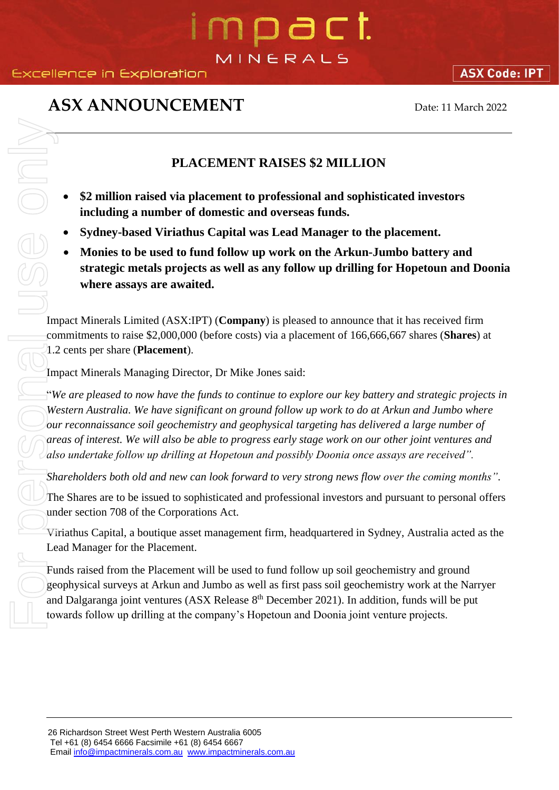# n o a c t MINERALS

### **ASX ANNOUNCEMENT** Date: 11 March 2022

**ASX Code: IPT** 

### **PLACEMENT RAISES \$2 MILLION**

- **\$2 million raised via placement to professional and sophisticated investors including a number of domestic and overseas funds.**
- **Sydney-based Viriathus Capital was Lead Manager to the placement.**
- **Monies to be used to fund follow up work on the Arkun-Jumbo battery and strategic metals projects as well as any follow up drilling for Hopetoun and Doonia where assays are awaited.**

Impact Minerals Limited (ASX:IPT) (**Company**) is pleased to announce that it has received firm commitments to raise \$2,000,000 (before costs) via a placement of 166,666,667 shares (**Shares**) at 1.2 cents per share (**Placement**).

Impact Minerals Managing Director, Dr Mike Jones said:

"*We are pleased to now have the funds to continue to explore our key battery and strategic projects in Western Australia. We have significant on ground follow up work to do at Arkun and Jumbo where our reconnaissance soil geochemistry and geophysical targeting has delivered a large number of areas of interest. We will also be able to progress early stage work on our other joint ventures and also undertake follow up drilling at Hopetoun and possibly Doonia once assays are received".* **EXAMENT RAISES S2 MILLION**<br> **EXAMENT RAISES S2 MILLION**<br> **EXAMENT RAISES S2 MILLION**<br> **EXAMENT CONTINUES** CAPITED INTO A CONSIDER THE COMPANY OF THE COMPANY CONDUCT THE COMPANY STATE THE COMPANY STATE STATE AND STATE STA

*Shareholders both old and new can look forward to very strong news flow over the coming months"*.

The Shares are to be issued to sophisticated and professional investors and pursuant to personal offers under section 708 of the Corporations Act.

Viriathus Capital, a boutique asset management firm, headquartered in Sydney, Australia acted as the Lead Manager for the Placement.

Funds raised from the Placement will be used to fund follow up soil geochemistry and ground geophysical surveys at Arkun and Jumbo as well as first pass soil geochemistry work at the Narryer and Dalgaranga joint ventures (ASX Release 8<sup>th</sup> December 2021). In addition, funds will be put